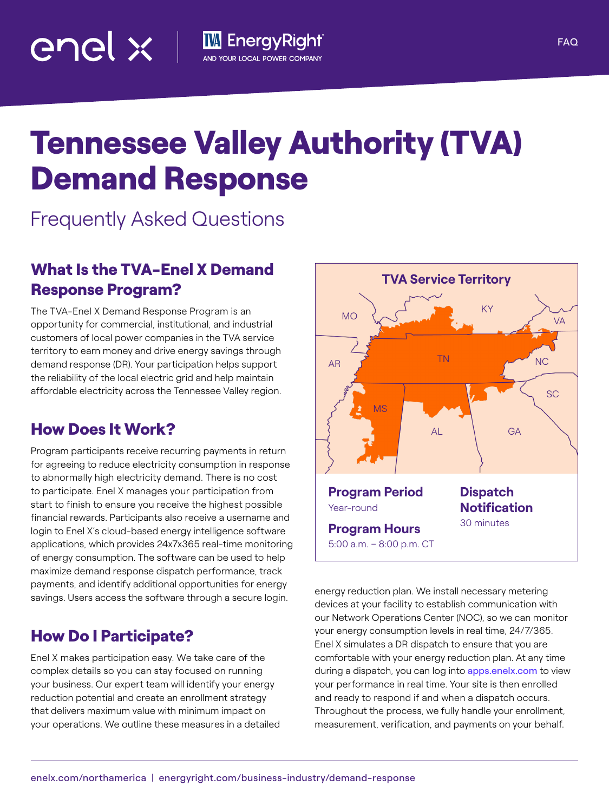# Tennessee Valley Authority (TVA) Demand Response

**IM** EnergyRight<sup>®</sup>

AND YOUR LOCAL POWER COMPANY

Frequently Asked Questions

# What Is the TVA-Enel X Demand Response Program?

The TVA-Enel X Demand Response Program is an opportunity for commercial, institutional, and industrial customers of local power companies in the TVA service territory to earn money and drive energy savings through demand response (DR). Your participation helps support the reliability of the local electric grid and help maintain affordable electricity across the Tennessee Valley region.

# How Does It Work?

enel  $\times$   $\bot$ 

Program participants receive recurring payments in return for agreeing to reduce electricity consumption in response to abnormally high electricity demand. There is no cost to participate. Enel X manages your participation from start to finish to ensure you receive the highest possible financial rewards. Participants also receive a username and login to Enel X's cloud-based energy intelligence software applications, which provides 24x7x365 real-time monitoring of energy consumption. The software can be used to help maximize demand response dispatch performance, track payments, and identify additional opportunities for energy savings. Users access the software through a secure login.

# How Do I Participate?

Enel X makes participation easy. We take care of the complex details so you can stay focused on running your business. Our expert team will identify your energy reduction potential and create an enrollment strategy that delivers maximum value with minimum impact on your operations. We outline these measures in a detailed



**TVA Service Territory**

devices at your facility to establish communication with our Network Operations Center (NOC), so we can monitor your energy consumption levels in real time, 24/7/365. Enel X simulates a DR dispatch to ensure that you are comfortable with your energy reduction plan. At any time during a dispatch, you can log into [apps.enelx.com](http://apps.enelx.com) to view your performance in real time. Your site is then enrolled and ready to respond if and when a dispatch occurs. Throughout the process, we fully handle your enrollment, measurement, verification, and payments on your behalf.